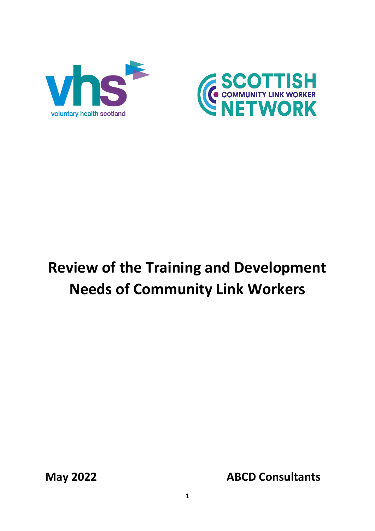



# **Review of the Training and Development Needs of Community Link Workers**

**May 2022 ABCD Consultants**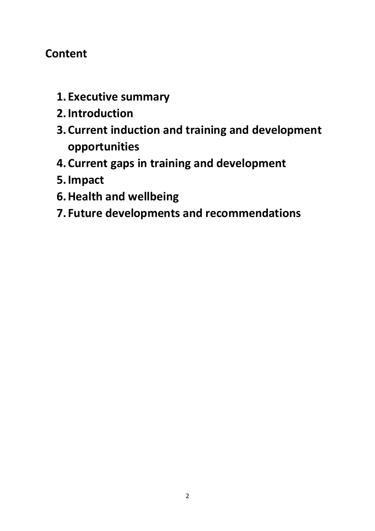# **Content**

- **1. Executive summary**
- **2.Introduction**
- **3.Current induction and training and development opportunities**
- **4.Current gaps in training and development**
- **5.Impact**
- **6.Health and wellbeing**
- **7. Future developments and recommendations**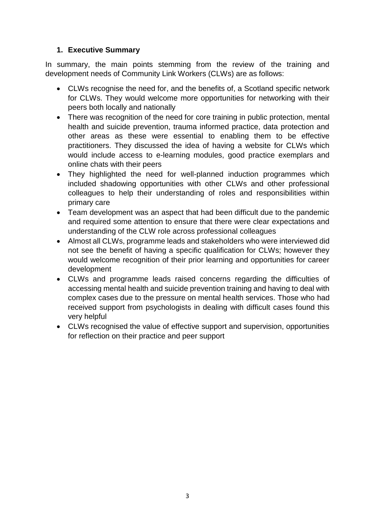# **1. Executive Summary**

In summary, the main points stemming from the review of the training and development needs of Community Link Workers (CLWs) are as follows:

- CLWs recognise the need for, and the benefits of, a Scotland specific network for CLWs. They would welcome more opportunities for networking with their peers both locally and nationally
- There was recognition of the need for core training in public protection, mental health and suicide prevention, trauma informed practice, data protection and other areas as these were essential to enabling them to be effective practitioners. They discussed the idea of having a website for CLWs which would include access to e-learning modules, good practice exemplars and online chats with their peers
- They highlighted the need for well-planned induction programmes which included shadowing opportunities with other CLWs and other professional colleagues to help their understanding of roles and responsibilities within primary care
- Team development was an aspect that had been difficult due to the pandemic and required some attention to ensure that there were clear expectations and understanding of the CLW role across professional colleagues
- Almost all CLWs, programme leads and stakeholders who were interviewed did not see the benefit of having a specific qualification for CLWs; however they would welcome recognition of their prior learning and opportunities for career development
- CLWs and programme leads raised concerns regarding the difficulties of accessing mental health and suicide prevention training and having to deal with complex cases due to the pressure on mental health services. Those who had received support from psychologists in dealing with difficult cases found this very helpful
- CLWs recognised the value of effective support and supervision, opportunities for reflection on their practice and peer support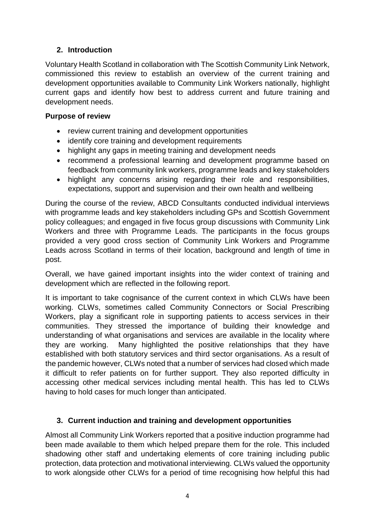# **2. Introduction**

Voluntary Health Scotland in collaboration with The Scottish Community Link Network, commissioned this review to establish an overview of the current training and development opportunities available to Community Link Workers nationally, highlight current gaps and identify how best to address current and future training and development needs.

# **Purpose of review**

- review current training and development opportunities
- identify core training and development requirements
- highlight any gaps in meeting training and development needs
- recommend a professional learning and development programme based on feedback from community link workers, programme leads and key stakeholders
- highlight any concerns arising regarding their role and responsibilities, expectations, support and supervision and their own health and wellbeing

During the course of the review, ABCD Consultants conducted individual interviews with programme leads and key stakeholders including GPs and Scottish Government policy colleagues; and engaged in five focus group discussions with Community Link Workers and three with Programme Leads. The participants in the focus groups provided a very good cross section of Community Link Workers and Programme Leads across Scotland in terms of their location, background and length of time in post.

Overall, we have gained important insights into the wider context of training and development which are reflected in the following report.

It is important to take cognisance of the current context in which CLWs have been working. CLWs, sometimes called Community Connectors or Social Prescribing Workers, play a significant role in supporting patients to access services in their communities. They stressed the importance of building their knowledge and understanding of what organisations and services are available in the locality where they are working. Many highlighted the positive relationships that they have established with both statutory services and third sector organisations. As a result of the pandemic however, CLWs noted that a number of services had closed which made it difficult to refer patients on for further support. They also reported difficulty in accessing other medical services including mental health. This has led to CLWs having to hold cases for much longer than anticipated.

# **3. Current induction and training and development opportunities**

Almost all Community Link Workers reported that a positive induction programme had been made available to them which helped prepare them for the role. This included shadowing other staff and undertaking elements of core training including public protection, data protection and motivational interviewing. CLWs valued the opportunity to work alongside other CLWs for a period of time recognising how helpful this had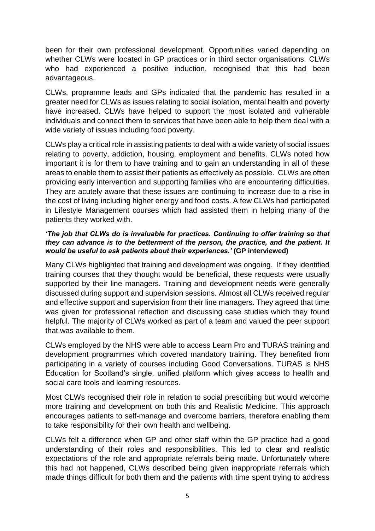been for their own professional development. Opportunities varied depending on whether CLWs were located in GP practices or in third sector organisations. CLWs who had experienced a positive induction, recognised that this had been advantageous.

CLWs, propramme leads and GPs indicated that the pandemic has resulted in a greater need for CLWs as issues relating to social isolation, mental health and poverty have increased. CLWs have helped to support the most isolated and vulnerable individuals and connect them to services that have been able to help them deal with a wide variety of issues including food poverty.

CLWs play a critical role in assisting patients to deal with a wide variety of social issues relating to poverty, addiction, housing, employment and benefits. CLWs noted how important it is for them to have training and to gain an understanding in all of these areas to enable them to assist their patients as effectively as possible. CLWs are often providing early intervention and supporting families who are encountering difficulties. They are acutely aware that these issues are continuing to increase due to a rise in the cost of living including higher energy and food costs. A few CLWs had participated in Lifestyle Management courses which had assisted them in helping many of the patients they worked with.

#### *'The job that CLWs do is invaluable for practices. Continuing to offer training so that they can advance is to the betterment of the person, the practice, and the patient. It would be useful to ask patients about their experiences.'* **(GP interviewed)**

Many CLWs highlighted that training and development was ongoing. If they identified training courses that they thought would be beneficial, these requests were usually supported by their line managers. Training and development needs were generally discussed during support and supervision sessions. Almost all CLWs received regular and effective support and supervision from their line managers. They agreed that time was given for professional reflection and discussing case studies which they found helpful. The majority of CLWs worked as part of a team and valued the peer support that was available to them.

CLWs employed by the NHS were able to access Learn Pro and TURAS training and development programmes which covered mandatory training. They benefited from participating in a variety of courses including Good Conversations. TURAS is NHS Education for Scotland's single, unified platform which gives access to health and social care tools and learning resources.

Most CLWs recognised their role in relation to social prescribing but would welcome more training and development on both this and Realistic Medicine. This approach encourages patients to self-manage and overcome barriers, therefore enabling them to take responsibility for their own health and wellbeing.

CLWs felt a difference when GP and other staff within the GP practice had a good understanding of their roles and responsibilities. This led to clear and realistic expectations of the role and appropriate referrals being made. Unfortunately where this had not happened, CLWs described being given inappropriate referrals which made things difficult for both them and the patients with time spent trying to address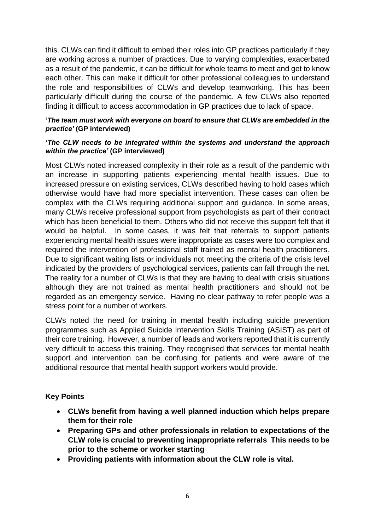this. CLWs can find it difficult to embed their roles into GP practices particularly if they are working across a number of practices. Due to varying complexities, exacerbated as a result of the pandemic, it can be difficult for whole teams to meet and get to know each other. This can make it difficult for other professional colleagues to understand the role and responsibilities of CLWs and develop teamworking. This has been particularly difficult during the course of the pandemic. A few CLWs also reported finding it difficult to access accommodation in GP practices due to lack of space.

#### **'***The team must work with everyone on board to ensure that CLWs are embedded in the practice'* **(GP interviewed)**

#### *'The CLW needs to be integrated within the systems and understand the approach within the practice'* **(GP interviewed)**

Most CLWs noted increased complexity in their role as a result of the pandemic with an increase in supporting patients experiencing mental health issues. Due to increased pressure on existing services, CLWs described having to hold cases which otherwise would have had more specialist intervention. These cases can often be complex with the CLWs requiring additional support and guidance. In some areas, many CLWs receive professional support from psychologists as part of their contract which has been beneficial to them. Others who did not receive this support felt that it would be helpful. In some cases, it was felt that referrals to support patients experiencing mental health issues were inappropriate as cases were too complex and required the intervention of professional staff trained as mental health practitioners. Due to significant waiting lists or individuals not meeting the criteria of the crisis level indicated by the providers of psychological services, patients can fall through the net. The reality for a number of CLWs is that they are having to deal with crisis situations although they are not trained as mental health practitioners and should not be regarded as an emergency service. Having no clear pathway to refer people was a stress point for a number of workers.

CLWs noted the need for training in mental health including suicide prevention programmes such as Applied Suicide Intervention Skills Training (ASIST) as part of their core training. However, a number of leads and workers reported that it is currently very difficult to access this training. They recognised that services for mental health support and intervention can be confusing for patients and were aware of the additional resource that mental health support workers would provide.

# **Key Points**

- **CLWs benefit from having a well planned induction which helps prepare them for their role**
- **Preparing GPs and other professionals in relation to expectations of the CLW role is crucial to preventing inappropriate referrals This needs to be prior to the scheme or worker starting**
- **Providing patients with information about the CLW role is vital.**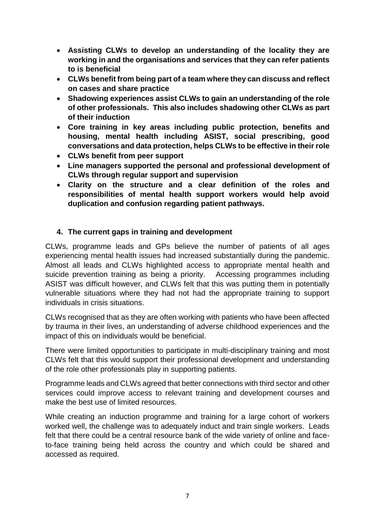- **Assisting CLWs to develop an understanding of the locality they are working in and the organisations and services that they can refer patients to is beneficial**
- **CLWs benefit from being part of a team where they can discuss and reflect on cases and share practice**
- **Shadowing experiences assist CLWs to gain an understanding of the role of other professionals. This also includes shadowing other CLWs as part of their induction**
- **Core training in key areas including public protection, benefits and housing, mental health including ASIST, social prescribing, good conversations and data protection, helps CLWs to be effective in their role**
- **CLWs benefit from peer support**
- **Line managers supported the personal and professional development of CLWs through regular support and supervision**
- **Clarity on the structure and a clear definition of the roles and responsibilities of mental health support workers would help avoid duplication and confusion regarding patient pathways.**

# **4. The current gaps in training and development**

CLWs, programme leads and GPs believe the number of patients of all ages experiencing mental health issues had increased substantially during the pandemic. Almost all leads and CLWs highlighted access to appropriate mental health and suicide prevention training as being a priority. Accessing programmes including ASIST was difficult however, and CLWs felt that this was putting them in potentially vulnerable situations where they had not had the appropriate training to support individuals in crisis situations.

CLWs recognised that as they are often working with patients who have been affected by trauma in their lives, an understanding of adverse childhood experiences and the impact of this on individuals would be beneficial.

There were limited opportunities to participate in multi-disciplinary training and most CLWs felt that this would support their professional development and understanding of the role other professionals play in supporting patients.

Programme leads and CLWs agreed that better connections with third sector and other services could improve access to relevant training and development courses and make the best use of limited resources.

While creating an induction programme and training for a large cohort of workers worked well, the challenge was to adequately induct and train single workers. Leads felt that there could be a central resource bank of the wide variety of online and faceto-face training being held across the country and which could be shared and accessed as required.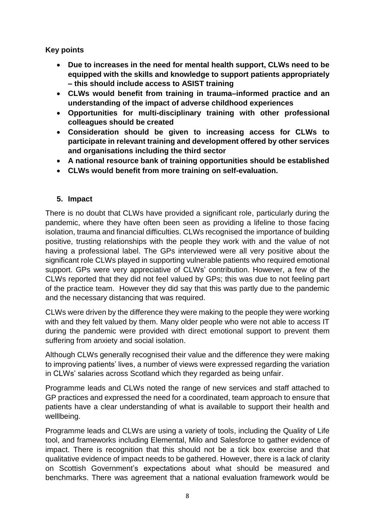**Key points**

- **Due to increases in the need for mental health support, CLWs need to be equipped with the skills and knowledge to support patients appropriately – this should include access to ASIST training**
- **CLWs would benefit from training in trauma–informed practice and an understanding of the impact of adverse childhood experiences**
- **Opportunities for multi-disciplinary training with other professional colleagues should be created**
- **Consideration should be given to increasing access for CLWs to participate in relevant training and development offered by other services and organisations including the third sector**
- **A national resource bank of training opportunities should be established**
- **CLWs would benefit from more training on self-evaluation.**

# **5. Impact**

There is no doubt that CLWs have provided a significant role, particularly during the pandemic, where they have often been seen as providing a lifeline to those facing isolation, trauma and financial difficulties. CLWs recognised the importance of building positive, trusting relationships with the people they work with and the value of not having a professional label. The GPs interviewed were all very positive about the significant role CLWs played in supporting vulnerable patients who required emotional support. GPs were very appreciative of CLWs' contribution. However, a few of the CLWs reported that they did not feel valued by GPs; this was due to not feeling part of the practice team. However they did say that this was partly due to the pandemic and the necessary distancing that was required.

CLWs were driven by the difference they were making to the people they were working with and they felt valued by them. Many older people who were not able to access IT during the pandemic were provided with direct emotional support to prevent them suffering from anxiety and social isolation.

Although CLWs generally recognised their value and the difference they were making to improving patients' lives, a number of views were expressed regarding the variation in CLWs' salaries across Scotland which they regarded as being unfair.

Programme leads and CLWs noted the range of new services and staff attached to GP practices and expressed the need for a coordinated, team approach to ensure that patients have a clear understanding of what is available to support their health and welllbeing.

Programme leads and CLWs are using a variety of tools, including the Quality of Life tool, and frameworks including Elemental, Milo and Salesforce to gather evidence of impact. There is recognition that this should not be a tick box exercise and that qualitative evidence of impact needs to be gathered. However, there is a lack of clarity on Scottish Government's expectations about what should be measured and benchmarks. There was agreement that a national evaluation framework would be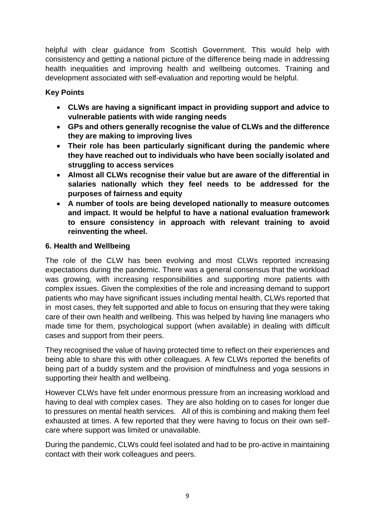helpful with clear guidance from Scottish Government. This would help with consistency and getting a national picture of the difference being made in addressing health inequalities and improving health and wellbeing outcomes. Training and development associated with self-evaluation and reporting would be helpful.

# **Key Points**

- **CLWs are having a significant impact in providing support and advice to vulnerable patients with wide ranging needs**
- **GPs and others generally recognise the value of CLWs and the difference they are making to improving lives**
- **Their role has been particularly significant during the pandemic where they have reached out to individuals who have been socially isolated and struggling to access services**
- **Almost all CLWs recognise their value but are aware of the differential in salaries nationally which they feel needs to be addressed for the purposes of fairness and equity**
- **A number of tools are being developed nationally to measure outcomes and impact. It would be helpful to have a national evaluation framework to ensure consistency in approach with relevant training to avoid reinventing the wheel.**

# **6. Health and Wellbeing**

The role of the CLW has been evolving and most CLWs reported increasing expectations during the pandemic. There was a general consensus that the workload was growing, with increasing responsibilities and supporting more patients with complex issues. Given the complexities of the role and increasing demand to support patients who may have significant issues including mental health, CLWs reported that in most cases, they felt supported and able to focus on ensuring that they were taking care of their own health and wellbeing. This was helped by having line managers who made time for them, psychological support (when available) in dealing with difficult cases and support from their peers.

They recognised the value of having protected time to reflect on their experiences and being able to share this with other colleagues. A few CLWs reported the benefits of being part of a buddy system and the provision of mindfulness and yoga sessions in supporting their health and wellbeing.

However CLWs have felt under enormous pressure from an increasing workload and having to deal with complex cases. They are also holding on to cases for longer due to pressures on mental health services. All of this is combining and making them feel exhausted at times. A few reported that they were having to focus on their own selfcare where support was limited or unavailable.

During the pandemic, CLWs could feel isolated and had to be pro-active in maintaining contact with their work colleagues and peers.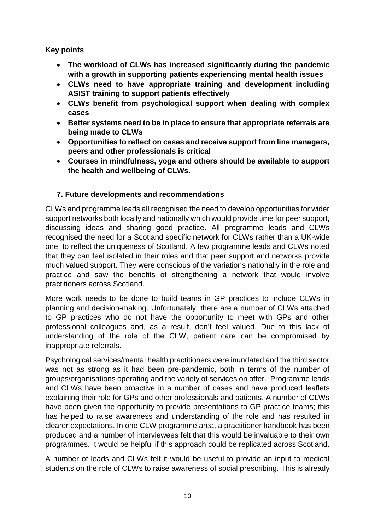**Key points**

- **The workload of CLWs has increased significantly during the pandemic with a growth in supporting patients experiencing mental health issues**
- **CLWs need to have appropriate training and development including ASIST training to support patients effectively**
- **CLWs benefit from psychological support when dealing with complex cases**
- **Better systems need to be in place to ensure that appropriate referrals are being made to CLWs**
- **Opportunities to reflect on cases and receive support from line managers, peers and other professionals is critical**
- **Courses in mindfulness, yoga and others should be available to support the health and wellbeing of CLWs.**

# **7. Future developments and recommendations**

CLWs and programme leads all recognised the need to develop opportunities for wider support networks both locally and nationally which would provide time for peer support, discussing ideas and sharing good practice. All programme leads and CLWs recognised the need for a Scotland specific network for CLWs rather than a UK-wide one, to reflect the uniqueness of Scotland. A few programme leads and CLWs noted that they can feel isolated in their roles and that peer support and networks provide much valued support. They were conscious of the variations nationally in the role and practice and saw the benefits of strengthening a network that would involve practitioners across Scotland.

More work needs to be done to build teams in GP practices to include CLWs in planning and decision-making. Unfortunately, there are a number of CLWs attached to GP practices who do not have the opportunity to meet with GPs and other professional colleagues and, as a result, don't feel valued. Due to this lack of understanding of the role of the CLW, patient care can be compromised by inappropriate referrals.

Psychological services/mental health practitioners were inundated and the third sector was not as strong as it had been pre-pandemic, both in terms of the number of groups/organisations operating and the variety of services on offer. Programme leads and CLWs have been proactive in a number of cases and have produced leaflets explaining their role for GPs and other professionals and patients. A number of CLWs have been given the opportunity to provide presentations to GP practice teams; this has helped to raise awareness and understanding of the role and has resulted in clearer expectations. In one CLW programme area, a practitioner handbook has been produced and a number of interviewees felt that this would be invaluable to their own programmes. It would be helpful if this approach could be replicated across Scotland.

A number of leads and CLWs felt it would be useful to provide an input to medical students on the role of CLWs to raise awareness of social prescribing. This is already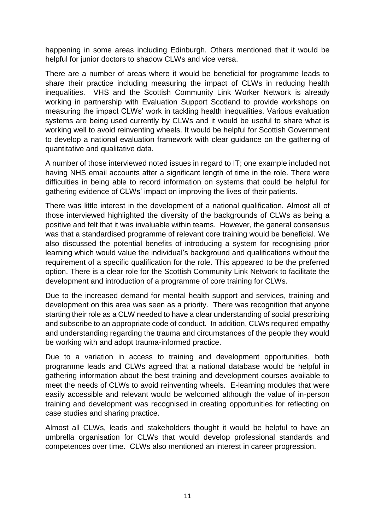happening in some areas including Edinburgh. Others mentioned that it would be helpful for junior doctors to shadow CLWs and vice versa.

There are a number of areas where it would be beneficial for programme leads to share their practice including measuring the impact of CLWs in reducing health inequalities. VHS and the Scottish Community Link Worker Network is already working in partnership with Evaluation Support Scotland to provide workshops on measuring the impact CLWs' work in tackling health inequalities. Various evaluation systems are being used currently by CLWs and it would be useful to share what is working well to avoid reinventing wheels. It would be helpful for Scottish Government to develop a national evaluation framework with clear guidance on the gathering of quantitative and qualitative data.

A number of those interviewed noted issues in regard to IT; one example included not having NHS email accounts after a significant length of time in the role. There were difficulties in being able to record information on systems that could be helpful for gathering evidence of CLWs' impact on improving the lives of their patients.

There was little interest in the development of a national qualification. Almost all of those interviewed highlighted the diversity of the backgrounds of CLWs as being a positive and felt that it was invaluable within teams. However, the general consensus was that a standardised programme of relevant core training would be beneficial. We also discussed the potential benefits of introducing a system for recognising prior learning which would value the individual's background and qualifications without the requirement of a specific qualification for the role. This appeared to be the preferred option. There is a clear role for the Scottish Community Link Network to facilitate the development and introduction of a programme of core training for CLWs.

Due to the increased demand for mental health support and services, training and development on this area was seen as a priority. There was recognition that anyone starting their role as a CLW needed to have a clear understanding of social prescribing and subscribe to an appropriate code of conduct. In addition, CLWs required empathy and understanding regarding the trauma and circumstances of the people they would be working with and adopt trauma-informed practice.

Due to a variation in access to training and development opportunities, both programme leads and CLWs agreed that a national database would be helpful in gathering information about the best training and development courses available to meet the needs of CLWs to avoid reinventing wheels. E-learning modules that were easily accessible and relevant would be welcomed although the value of in-person training and development was recognised in creating opportunities for reflecting on case studies and sharing practice.

Almost all CLWs, leads and stakeholders thought it would be helpful to have an umbrella organisation for CLWs that would develop professional standards and competences over time. CLWs also mentioned an interest in career progression.